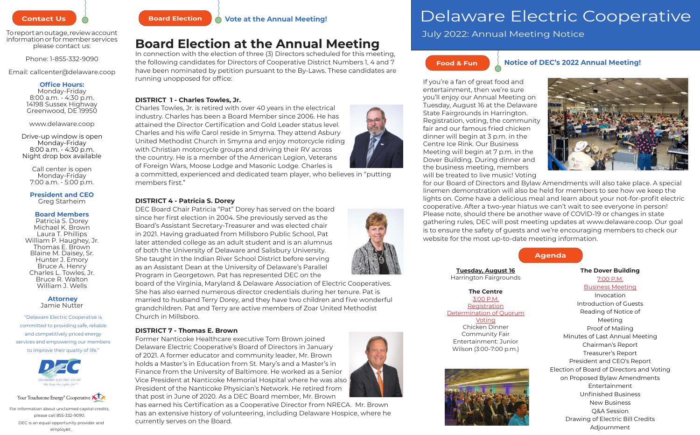# Delaware Electric Cooperative

please contact us:

Phone: 1-855-332-9090

Email: callcenter@delaware.coop

# **Office Hours:**

Monday-Friday 8:00 a.m. - 4:30 p.m. 14198 Sussex Highway Greenwood, DE 19950

www.delaware.coop

Drive-up window is open Monday-Friday 8:00 a.m. - 4:30 p.m. Night drop box available

> Call center is open Monday-Friday 7:00 a.m. - 5:00 p.m.

# **President and CEO** Greg Starheim

# **Board Members**

Patricia S. Dorey Michael K. Brown Laura T. Phillips William P. Haughey, Jr. Thomas E. Brown Blaine M. Daisey, Sr. Hunter J. Emory Bruce A. Henry Charles L. Towles, Jr. Bruce R. Walton William J. Wells

### **Attorney** Jamie Nutter

"Delaware Electric Cooperative is committed to providing safe, reliable and competitively priced energy services and empowering our members to improve their quality of life."





# **Food & Fun Notice of DEC's 2022 Annual Meeting!**



If you're a fan of great food and entertainment, then we're sure you'll enjoy our Annual Meeting on Tuesday, August 16 at the Delaware State Fairgrounds in Harrington. Registration, voting, the community fair and our famous fried chicken dinner will begin at 3 p.m. in the Centre Ice Rink. Our Business Meeting will begin at 7 p.m. in the Dover Building. During dinner and the business meeting, members will be treated to live music! Voting for our Board of Directors and Bylaw Amendments will also take place. A special linemen demonstration will also be held for members to see how we keep the lights on. Come have a delicious meal and learn about your not-for-profit electric cooperative. After a two-year hiatus we can't wait to see everyone in person! Please note, should there be another wave of COVID-19 or changes in state gathering rules, DEC will post meeting updates at www.delaware.coop. Our goal is to ensure the safety of guests and we're encouraging members to check our website for the most up-to-date meeting information.



DEC is an equal opportunity provider and employer. For information about unclaimed capital credits, please call 855-332-9090.



# **Contact Us & Annual Meeting!** Board Election **A** Vote at the Annual Meeting!

# **Board Election at the Annual Meeting**

In connection with the election of three (3) Directors scheduled for this meeting, the following candidates for Directors of Cooperative District Numbers 1, 4 and 7 have been nominated by petition pursuant to the By-Laws. These candidates are running unopposed for office:

# **DISTRICT 1 - Charles Towles, Jr.**

Charles Towles, Jr. is retired with over 40 years in the electrical industry. Charles has been a Board Member since 2006. He has attained the Director Certification and Gold Leader status level. Charles and his wife Carol reside in Smyrna. They attend Asbury United Methodist Church in Smyrna and enjoy motorcycle riding with Christian motorcycle groups and driving their RV across the country. He is a member of the American Legion, Veterans of Foreign Wars, Moose Lodge and Masonic Lodge. Charles is

a committed, experienced and dedicated team player, who believes in "putting members first."

# **DISTRICT 4 - Patricia S. Dorey**

DEC Board Chair Patricia "Pat" Dorey has served on the board since her first election in 2004. She previously served as the Board's Assistant Secretary-Treasurer and was elected chair in 2021. Having graduated from Millsboro Public School, Pat later attended college as an adult student and is an alumnus of both the University of Delaware and Salisbury University. She taught in the Indian River School District before serving as an Assistant Dean at the University of Delaware's Parallel Program in Georgetown. Pat has represented DEC on the

board of the Virginia, Maryland & Delaware Association of Electric Cooperatives. She has also earned numerous director credentials during her tenure. Pat is married to husband Terry Dorey, and they have two children and five wonderful grandchildren. Pat and Terry are active members of Zoar United Methodist Church in Millsboro.

# **DISTRICT 7 - Thomas E. Brown**

Former Nanticoke Healthcare executive Tom Brown joined Delaware Electric Cooperative's Board of Directors in January of 2021. A former educator and community leader, Mr. Brown holds a Master's in Education from St. Mary's and a Master's in Finance from the University of Baltimore. He worked as a Senior Vice President at Nanticoke Memorial Hospital where he was also President of the Nanticoke Physician's Network. He retired from that post in June of 2020. As a DEC Board member, Mr. Brown

has earned his Certification as a Cooperative Director from NRECA. Mr. Brown has an extensive history of volunteering, including Delaware Hospice, where he currently serves on the Board.





To report an outage, review account<br>information or for member services **Dependent Clear field** of the particle in the particle in the particle information or for member services





**Tuesday, August 16** Harrington Fairgrounds

# **The Centre**

3:00 P.M. **Registration** Determination of Quorum Voting Chicken Dinner Community Fair Entertainment: Junior Wilson (3:00-7:00 p.m.)





# **The Dover Building**

7:00 P.M. Business Meeting Invocation Introduction of Guests Reading of Notice of Meeting Proof of Mailing Minutes of Last Annual Meeting Chairman's Report Treasurer's Report President and CEO's Report Election of Board of Directors and Voting on Proposed Bylaw Amendments Entertainment Unfinished Business New Business Q&A Session Drawing of Electric Bill Credits Adjournment